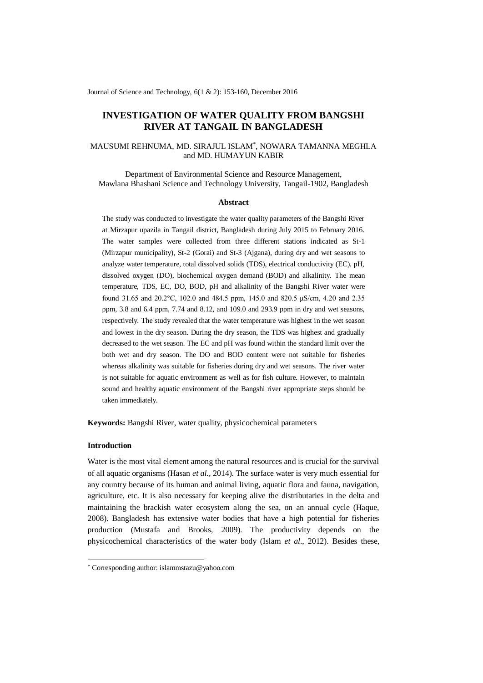Journal of Science and Technology, 6(1 & 2): 153-160, December 2016

# **INVESTIGATION OF WATER QUALITY FROM BANGSHI RIVER AT TANGAIL IN BANGLADESH**

# MAUSUMI REHNUMA, MD. SIRAJUL ISLAM\* , NOWARA TAMANNA MEGHLA and MD. HUMAYUN KABIR

Department of Environmental Science and Resource Management, Mawlana Bhashani Science and Technology University, Tangail-1902, Bangladesh

#### **Abstract**

The study was conducted to investigate the water quality parameters of the Bangshi River at Mirzapur upazila in Tangail district, Bangladesh during July 2015 to February 2016. The water samples were collected from three different stations indicated as St-1 (Mirzapur municipality), St-2 (Gorai) and St-3 (Ajgana), during dry and wet seasons to analyze water temperature, total dissolved solids (TDS), electrical conductivity (EC), pH, dissolved oxygen (DO), biochemical oxygen demand (BOD) and alkalinity. The mean temperature, TDS, EC, DO, BOD, pH and alkalinity of the Bangshi River water were found 31.65 and 20.2°C, 102.0 and 484.5 ppm, 145.0 and 820.5 μS/cm, 4.20 and 2.35 ppm, 3.8 and 6.4 ppm, 7.74 and 8.12, and 109.0 and 293.9 ppm in dry and wet seasons, respectively. The study revealed that the water temperature was highest in the wet season and lowest in the dry season. During the dry season, the TDS was highest and gradually decreased to the wet season. The EC and pH was found within the standard limit over the both wet and dry season. The DO and BOD content were not suitable for fisheries whereas alkalinity was suitable for fisheries during dry and wet seasons. The river water is not suitable for aquatic environment as well as for fish culture. However, to maintain sound and healthy aquatic environment of the Bangshi river appropriate steps should be taken immediately.

**Keywords:** Bangshi River, water quality, physicochemical parameters

## **Introduction**

-

Water is the most vital element among the natural resources and is crucial for the survival of all aquatic organisms (Hasan *et al.,* 2014). The surface water is very much essential for any country because of its human and animal living, aquatic flora and fauna, navigation, agriculture, etc. It is also necessary for keeping alive the distributaries in the delta and maintaining the brackish water ecosystem along the sea, on an annual cycle (Haque, 2008). Bangladesh has extensive water bodies that have a high potential for fisheries production (Mustafa and Brooks, 2009). The productivity depends on the physicochemical characteristics of the water body (Islam *et al*., 2012). Besides these,

<sup>\*</sup> Corresponding author: islammstazu@yahoo.com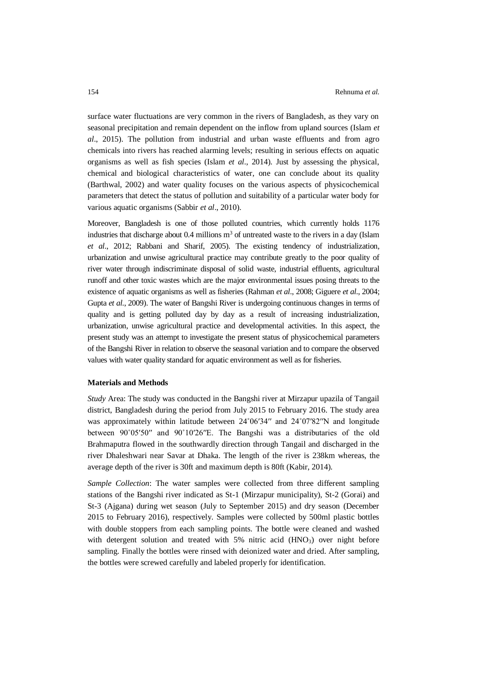surface water fluctuations are very common in the rivers of Bangladesh, as they vary on seasonal precipitation and remain dependent on the inflow from upland sources (Islam *et al*., 2015). The pollution from industrial and urban waste effluents and from agro chemicals into rivers has reached alarming levels; resulting in serious effects on aquatic organisms as well as fish species (Islam *et al*., 2014). Just by assessing the physical, chemical and biological characteristics of water, one can conclude about its quality (Barthwal, 2002) and water quality focuses on the various aspects of physicochemical parameters that detect the status of pollution and suitability of a particular water body for various aquatic organisms (Sabbir *et al*., 2010).

Moreover, Bangladesh is one of those polluted countries, which currently holds 1176 industries that discharge about  $0.4$  millions  $m<sup>3</sup>$  of untreated waste to the rivers in a day (Islam *et al*., 2012; Rabbani and Sharif, 2005). The existing tendency of industrialization, urbanization and unwise agricultural practice may contribute greatly to the poor quality of river water through indiscriminate disposal of solid waste, industrial effluents, agricultural runoff and other toxic wastes which are the major environmental issues posing threats to the existence of aquatic organisms as well as fisheries (Rahman *et al*., 2008; Giguere *et al*., 2004; Gupta *et al*., 2009). The water of Bangshi River is undergoing continuous changes in terms of quality and is getting polluted day by day as a result of increasing industrialization, urbanization, unwise agricultural practice and developmental activities. In this aspect, the present study was an attempt to investigate the present status of physicochemical parameters of the Bangshi River in relation to observe the seasonal variation and to compare the observed values with water quality standard for aquatic environment as well as for fisheries.

#### **Materials and Methods**

*Study* Area: The study was conducted in the Bangshi river at Mirzapur upazila of Tangail district, Bangladesh during the period from July 2015 to February 2016. The study area was approximately within latitude between 24°06′34″ and 24°07′82″N and longitude between 90˚05′50′′ and 90˚10′26′′E. The Bangshi was a distributaries of the old Brahmaputra flowed in the southwardly direction through Tangail and discharged in the river Dhaleshwari near Savar at Dhaka. The length of the river is 238km whereas, the average depth of the river is 30ft and maximum depth is 80ft (Kabir, 2014).

*Sample Collection*: The water samples were collected from three different sampling stations of the Bangshi river indicated as St-1 (Mirzapur municipality), St-2 (Gorai) and St-3 (Ajgana) during wet season (July to September 2015) and dry season (December 2015 to February 2016), respectively. Samples were collected by 500ml plastic bottles with double stoppers from each sampling points. The bottle were cleaned and washed with detergent solution and treated with  $5\%$  nitric acid (HNO<sub>3</sub>) over night before sampling. Finally the bottles were rinsed with deionized water and dried. After sampling, the bottles were screwed carefully and labeled properly for identification.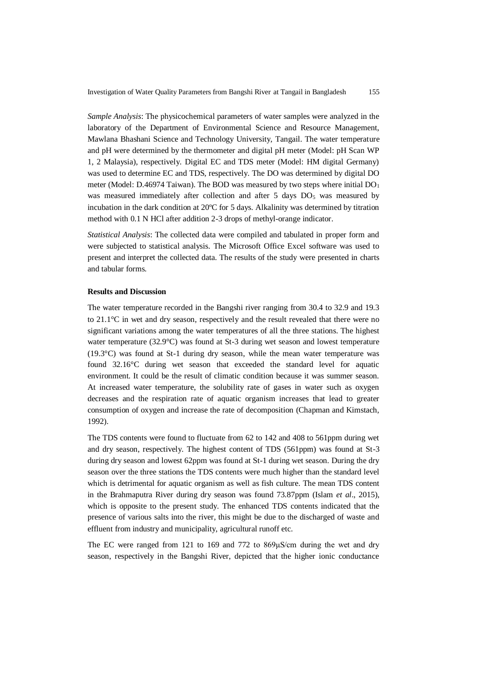*Sample Analysis*: The physicochemical parameters of water samples were analyzed in the laboratory of the Department of Environmental Science and Resource Management, Mawlana Bhashani Science and Technology University, Tangail. The water temperature and pH were determined by the thermometer and digital pH meter (Model: pH Scan WP 1, 2 Malaysia), respectively. Digital EC and TDS meter (Model: HM digital Germany) was used to determine EC and TDS, respectively. The DO was determined by digital DO meter (Model: D.46974 Taiwan). The BOD was measured by two steps where initial  $DO<sub>1</sub>$ was measured immediately after collection and after 5 days  $DO<sub>5</sub>$  was measured by incubation in the dark condition at 20ºC for 5 days. Alkalinity was determined by titration method with 0.1 N HCl after addition 2-3 drops of methyl-orange indicator.

*Statistical Analysis*: The collected data were compiled and tabulated in proper form and were subjected to statistical analysis. The Microsoft Office Excel software was used to present and interpret the collected data. The results of the study were presented in charts and tabular forms.

# **Results and Discussion**

The water temperature recorded in the Bangshi river ranging from 30.4 to 32.9 and 19.3 to 21.1°C in wet and dry season, respectively and the result revealed that there were no significant variations among the water temperatures of all the three stations. The highest water temperature (32.9°C) was found at St-3 during wet season and lowest temperature (19.3°C) was found at St-1 during dry season, while the mean water temperature was found 32.16°C during wet season that exceeded the standard level for aquatic environment. It could be the result of climatic condition because it was summer season. At increased water temperature, the solubility rate of gases in water such as oxygen decreases and the respiration rate of aquatic organism increases that lead to greater consumption of oxygen and increase the rate of decomposition (Chapman and Kimstach, 1992).

The TDS contents were found to fluctuate from 62 to 142 and 408 to 561ppm during wet and dry season, respectively. The highest content of TDS (561ppm) was found at St-3 during dry season and lowest 62ppm was found at St-1 during wet season. During the dry season over the three stations the TDS contents were much higher than the standard level which is detrimental for aquatic organism as well as fish culture. The mean TDS content in the Brahmaputra River during dry season was found 73.87ppm (Islam *et al*., 2015), which is opposite to the present study. The enhanced TDS contents indicated that the presence of various salts into the river, this might be due to the discharged of waste and effluent from industry and municipality, agricultural runoff etc.

The EC were ranged from 121 to 169 and 772 to 869μS/cm during the wet and dry season, respectively in the Bangshi River, depicted that the higher ionic conductance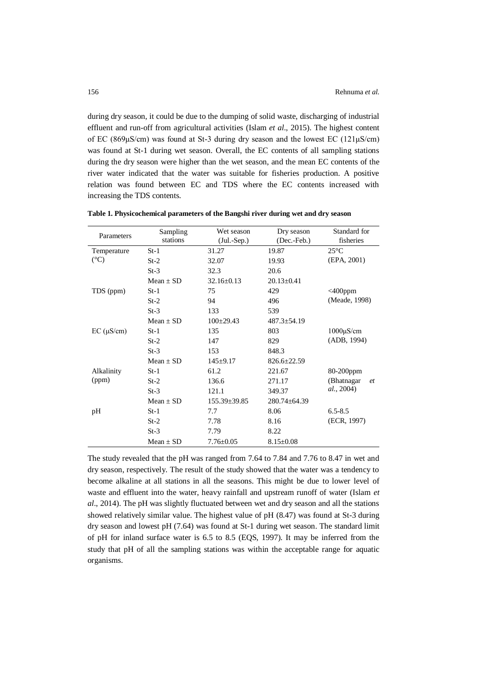during dry season, it could be due to the dumping of solid waste, discharging of industrial effluent and run-off from agricultural activities (Islam *et al*., 2015). The highest content of EC (869μS/cm) was found at St-3 during dry season and the lowest EC (121μS/cm) was found at St-1 during wet season. Overall, the EC contents of all sampling stations during the dry season were higher than the wet season, and the mean EC contents of the river water indicated that the water was suitable for fisheries production. A positive relation was found between EC and TDS where the EC contents increased with increasing the TDS contents.

| Parameters         | Sampling    | Wet season         | Dry season         | Standard for       |
|--------------------|-------------|--------------------|--------------------|--------------------|
|                    | stations    | $(Jul.-Sep.)$      | (Dec.-Feb.)        | fisheries          |
| Temperature        | $St-1$      | 31.27              | 19.87              | $25^{\circ}$ C     |
| $({}^{\circ}C)$    | $St-2$      | 32.07              | 19.93              | (EPA, 2001)        |
|                    | $St-3$      | 32.3               | 20.6               |                    |
|                    | $Mean + SD$ | $32.16 \pm 0.13$   | $20.13 \pm 0.41$   |                    |
| TDS (ppm)          | $St-1$      | 75                 | 429                | $<$ 400ppm         |
|                    | $St-2$      | 94                 | 496                | (Meade, 1998)      |
|                    | $St-3$      | 133                | 539                |                    |
|                    | $Mean + SD$ | $100+29.43$        | $487.3 \pm 54.19$  |                    |
| $EC$ ( $\mu$ S/cm) | $St-1$      | 135                | 803                | $1000\mu$ S/cm     |
|                    | $St-2$      | 147                | 829                | (ADB, 1994)        |
|                    | $St-3$      | 153                | 848.3              |                    |
|                    | $Mean + SD$ | $145+9.17$         | $826.6 \pm 22.59$  |                    |
| Alkalinity         | $St-1$      | 61.2               | 221.67             | 80-200ppm          |
| (ppm)              | $St-2$      | 136.6              | 271.17             | (Bhatnagar<br>et   |
|                    | $St-3$      | 121.1              | 349.37             | <i>al.</i> , 2004) |
|                    | $Mean + SD$ | $155.39 \pm 39.85$ | $280.74 \pm 64.39$ |                    |
| pH                 | $St-1$      | 7.7                | 8.06               | $6.5 - 8.5$        |
|                    | $St-2$      | 7.78               | 8.16               | (ECR, 1997)        |
|                    | $St-3$      | 7.79               | 8.22               |                    |
|                    | $Mean + SD$ | $7.76 \pm 0.05$    | $8.15 \pm 0.08$    |                    |

**Table 1. Physicochemical parameters of the Bangshi river during wet and dry season**

The study revealed that the pH was ranged from 7.64 to 7.84 and 7.76 to 8.47 in wet and dry season, respectively. The result of the study showed that the water was a tendency to become alkaline at all stations in all the seasons. This might be due to lower level of waste and effluent into the water, heavy rainfall and upstream runoff of water (Islam *et al*., 2014). The pH was slightly fluctuated between wet and dry season and all the stations showed relatively similar value. The highest value of pH (8.47) was found at St-3 during dry season and lowest pH (7.64) was found at St-1 during wet season. The standard limit of pH for inland surface water is 6.5 to 8.5 (EQS, 1997). It may be inferred from the study that pH of all the sampling stations was within the acceptable range for aquatic organisms.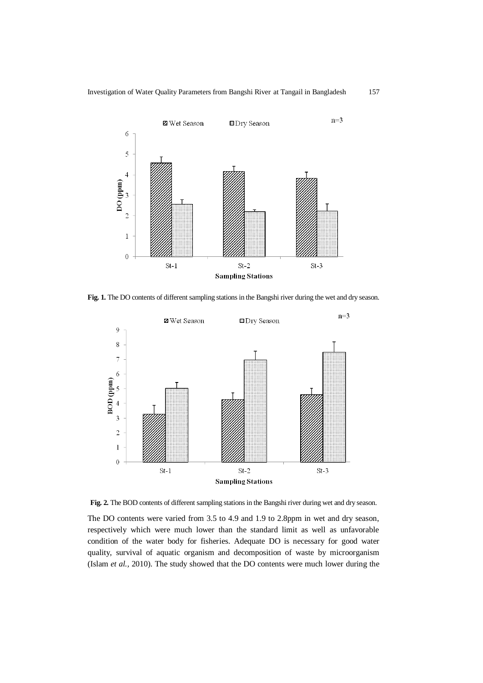

Fig. 1. The DO contents of different sampling stations in the Bangshi river during the wet and dry season.



Fig. 2. The BOD contents of different sampling stations in the Bangshi river during wet and dry season.

The DO contents were varied from 3.5 to 4.9 and 1.9 to 2.8ppm in wet and dry season, respectively which were much lower than the standard limit as well as unfavorable condition of the water body for fisheries. Adequate DO is necessary for good water quality, survival of aquatic organism and decomposition of waste by microorganism (Islam *et al.,* 2010). The study showed that the DO contents were much lower during the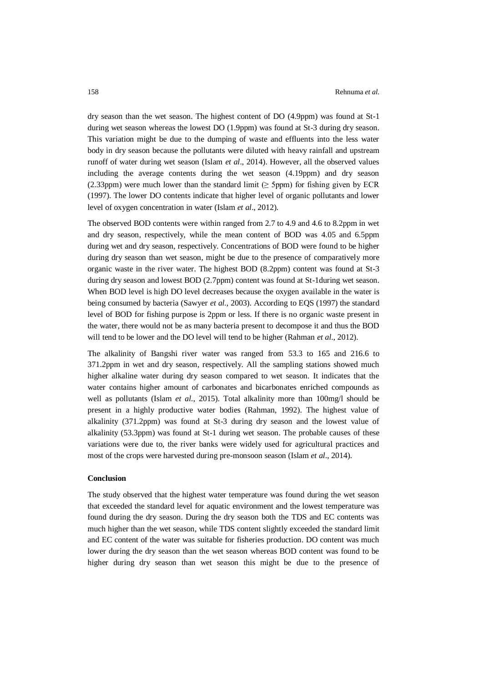dry season than the wet season. The highest content of DO (4.9ppm) was found at St-1 during wet season whereas the lowest DO (1.9ppm) was found at St-3 during dry season. This variation might be due to the dumping of waste and effluents into the less water body in dry season because the pollutants were diluted with heavy rainfall and upstream runoff of water during wet season (Islam *et al*., 2014). However, all the observed values including the average contents during the wet season (4.19ppm) and dry season (2.33ppm) were much lower than the standard limit ( $\geq$  5ppm) for fishing given by ECR (1997). The lower DO contents indicate that higher level of organic pollutants and lower level of oxygen concentration in water (Islam *et al*., 2012).

The observed BOD contents were within ranged from 2.7 to 4.9 and 4.6 to 8.2ppm in wet and dry season, respectively, while the mean content of BOD was 4.05 and 6.5ppm during wet and dry season, respectively. Concentrations of BOD were found to be higher during dry season than wet season, might be due to the presence of comparatively more organic waste in the river water. The highest BOD (8.2ppm) content was found at St-3 during dry season and lowest BOD (2.7ppm) content was found at St-1during wet season. When BOD level is high DO level decreases because the oxygen available in the water is being consumed by bacteria (Sawyer *et al.,* 2003). According to EQS (1997) the standard level of BOD for fishing purpose is 2ppm or less. If there is no organic waste present in the water, there would not be as many bacteria present to decompose it and thus the BOD will tend to be lower and the DO level will tend to be higher (Rahman *et al*., 2012).

The alkalinity of Bangshi river water was ranged from 53.3 to 165 and 216.6 to 371.2ppm in wet and dry season, respectively. All the sampling stations showed much higher alkaline water during dry season compared to wet season. It indicates that the water contains higher amount of carbonates and bicarbonates enriched compounds as well as pollutants (Islam *et al*., 2015). Total alkalinity more than 100mg/l should be present in a highly productive water bodies (Rahman, 1992). The highest value of alkalinity (371.2ppm) was found at St-3 during dry season and the lowest value of alkalinity (53.3ppm) was found at St-1 during wet season. The probable causes of these variations were due to, the river banks were widely used for agricultural practices and most of the crops were harvested during pre-monsoon season (Islam *et al*., 2014).

# **Conclusion**

The study observed that the highest water temperature was found during the wet season that exceeded the standard level for aquatic environment and the lowest temperature was found during the dry season. During the dry season both the TDS and EC contents was much higher than the wet season, while TDS content slightly exceeded the standard limit and EC content of the water was suitable for fisheries production. DO content was much lower during the dry season than the wet season whereas BOD content was found to be higher during dry season than wet season this might be due to the presence of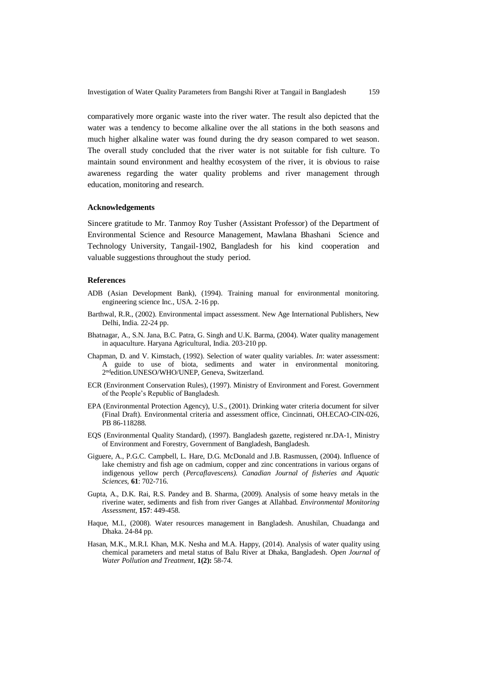comparatively more organic waste into the river water. The result also depicted that the water was a tendency to become alkaline over the all stations in the both seasons and much higher alkaline water was found during the dry season compared to wet season. The overall study concluded that the river water is not suitable for fish culture. To maintain sound environment and healthy ecosystem of the river, it is obvious to raise awareness regarding the water quality problems and river management through education, monitoring and research.

### **Acknowledgements**

Sincere gratitude to Mr. Tanmoy Roy Tusher (Assistant Professor) of the Department of Environmental Science and Resource Management, Mawlana Bhashani Science and Technology University, Tangail-1902, Bangladesh for his kind cooperation and valuable suggestions throughout the study period.

# **References**

- ADB (Asian Development Bank), (1994). Training manual for environmental monitoring. engineering science Inc., USA. 2-16 pp.
- Barthwal, R.R., (2002). Environmental impact assessment. New Age International Publishers, New Delhi, India. 22-24 pp.
- Bhatnagar, A., S.N. Jana, B.C. Patra, G. Singh and U.K. Barma, (2004). Water quality management in aquaculture. Haryana Agricultural, India. 203-210 pp.
- Chapman, D. and V. Kimstach, (1992). Selection of water quality variables. *In*: water assessment: A guide to use of biota, sediments and water in environmental monitoring. 2 ndedition.UNESO/WHO/UNEP, Geneva, Switzerland.
- ECR (Environment Conservation Rules), (1997). Ministry of Environment and Forest. Government of the People's Republic of Bangladesh.
- EPA (Environmental Protection Agency), U.S., (2001). Drinking water criteria document for silver (Final Draft). Environmental criteria and assessment office, Cincinnati, OH.ECAO-CIN-026, PB 86-118288.
- EQS (Environmental Quality Standard), (1997). Bangladesh gazette, registered nr.DA-1, Ministry of Environment and Forestry, Government of Bangladesh, Bangladesh.
- Giguere, A., P.G.C. Campbell, L. Hare, D.G. McDonald and J.B. Rasmussen, (2004). Influence of lake chemistry and fish age on cadmium, copper and zinc concentrations in various organs of indigenous yellow perch (*Percaflavescens). Canadian Journal of fisheries and Aquatic Sciences,* **61**: 702-716.
- Gupta, A., D.K. Rai, R.S. Pandey and B. Sharma, (2009). Analysis of some heavy metals in the riverine water, sediments and fish from river Ganges at Allahbad. *Environmental Monitoring Assessment,* **157**: 449-458.
- Haque, M.I., (2008). Water resources management in Bangladesh. Anushilan, Chuadanga and Dhaka. 24-84 pp.
- Hasan, M.K., M.R.I. Khan, M.K. Nesha and M.A. Happy, (2014). Analysis of water quality using chemical parameters and metal status of Balu River at Dhaka, Bangladesh. *Open Journal of Water Pollution and Treatment*, **1(2):** 58-74.